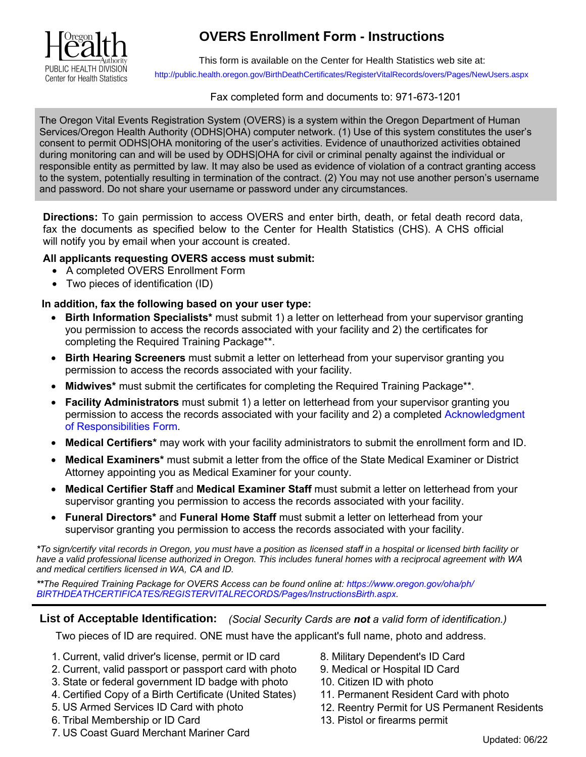

## **OVERS Enrollment Form - Instructions**

This form is available on the Center for Health Statistics web site at:

http://public.health.oregon.gov/BirthDeathCertificates/RegisterVitalRecords/overs/Pages/NewUsers.aspx

Fax completed form and documents to: 971-673-1201

The Oregon Vital Events Registration System (OVERS) is a system within the Oregon Department of Human Services/Oregon Health Authority (ODHS|OHA) computer network. (1) Use of this system constitutes the user's consent to permit ODHS|OHA monitoring of the user's activities. Evidence of unauthorized activities obtained during monitoring can and will be used by ODHS|OHA for civil or criminal penalty against the individual or responsible entity as permitted by law. It may also be used as evidence of violation of a contract granting access to the system, potentially resulting in termination of the contract. (2) You may not use another person's username and password. Do not share your username or password under any circumstances.

**Directions:** To gain permission to access OVERS and enter birth, death, or fetal death record data, fax the documents as specified below to the Center for Health Statistics (CHS). A CHS official will notify you by email when your account is created.

## **All applicants requesting OVERS access must submit:**

- A completed OVERS Enrollment Form
- Two pieces of identification (ID)

## **In addition, fax the following based on your user type:**

- **Birth Information Specialists\*** must submit 1) a letter on letterhead from your supervisor granting you permission to access the records associated with your facility and 2) the certificates for completing the Required Training Package\*\*.
- **Birth Hearing Screeners** must submit a letter on letterhead from your supervisor granting you permission to access the records associated with your facility.
- **Midwives\*** must submit the certificates for completing the Required Training Package\*\*.
- **Facility Administrators** must submit 1) a letter on letterhead from your supervisor granting you permission to access the records associated with your facility and 2) a [completed Acknowledgment](https://www.oregon.gov/oha/PH/BIRTHDEATHCERTIFICATES/REGISTERVITALRECORDS/OVERS/Documents/extadminform.pdf) of Responsibilities Form.
- **Medical Certifiers\*** may work with your facility administrators to submit the enrollment form and ID.
- **Medical Examiners\*** must submit a letter from the office of the State Medical Examiner or District Attorney appointing you as Medical Examiner for your county.
- **Medical Certifier Staff** and **Medical Examiner Staff** must submit a letter on letterhead from your supervisor granting you permission to access the records associated with your facility.
- **Funeral Directors\*** and **Funeral Home Staff** must submit a letter on letterhead from your supervisor granting you permission to access the records associated with your facility.

\*To sign/certify vital records in Oregon, you must have a position as licensed staff in a hospital or licensed birth facility or have a valid professional license authorized in Oregon. This includes funeral homes with a reciprocal agreement with WA *and medical certifiers licensed in WA, CA and ID.*

*\*\*The Required Training Package for OVERS Access can be found online at: https://www.oregon.gov/oha/ph/ [BIRTHDEATHCERTIFICATES/REGISTERVITALRECORDS/Pages/InstructionsBirth.aspx.](https://www.oregon.gov/oha/ph/BIRTHDEATHCERTIFICATES/REGISTERVITALRECORDS/Pages/InstructionsBirth.aspx)*

**List of Acceptable Identification:** *(Social Security Cards are not a valid form of identification.)*

Two pieces of ID are required. ONE must have the applicant's full name, photo and address.

- 1. Current, valid driver's license, permit or ID card
- 2. Current, valid passport or passport card with photo
- 3. State or federal government ID badge with photo
- 4. Certified Copy of a Birth Certificate (United States)
- 5. US Armed Services ID Card with photo
- 6. Tribal Membership or ID Card
- 7. US Coast Guard Merchant Mariner Card
- 8. Military Dependent's ID Card
- 9. Medical or Hospital ID Card
- 10. Citizen ID with photo
- 11. Permanent Resident Card with photo
- 12. Reentry Permit for US Permanent Residents
- 13. Pistol or firearms permit